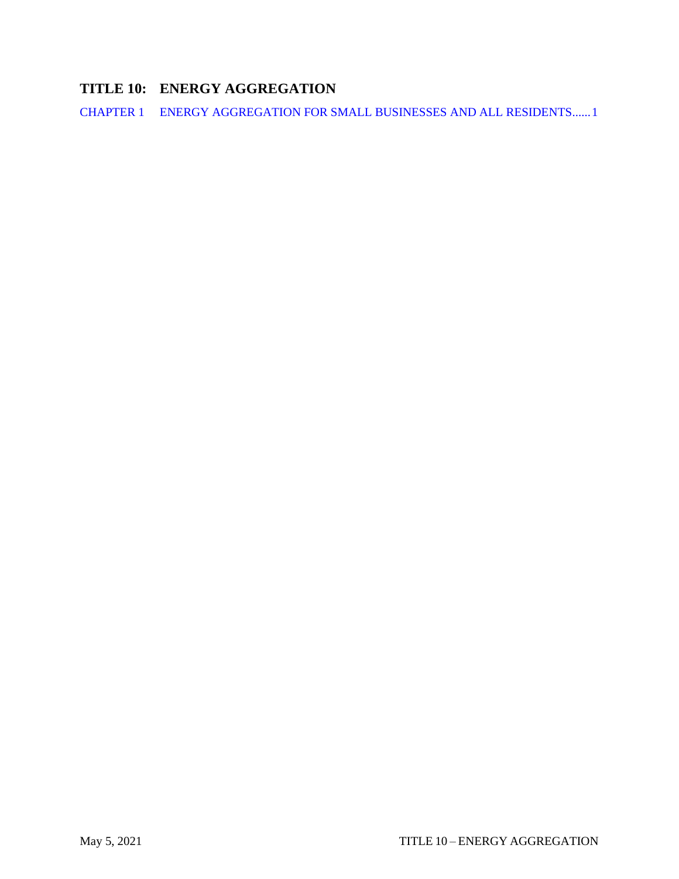# **TITLE 10: ENERGY AGGREGATION**

CHAPTER 1 [ENERGY AGGREGATION FOR SMALL BUSINESSES AND ALL RESIDENTS......1](#page-1-0)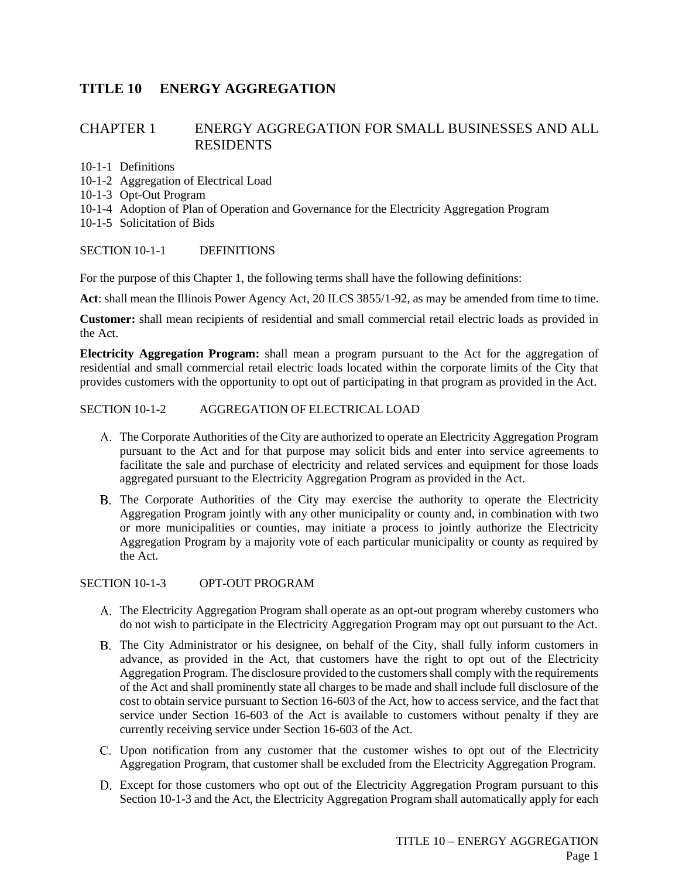## **TITLE 10 ENERGY AGGREGATION**

### <span id="page-1-0"></span>CHAPTER 1 ENERGY AGGREGATION FOR SMALL BUSINESSES AND ALL RESIDENTS

10-1-1 Definitions

- 10-1-2 Aggregation of Electrical Load
- 10-1-3 Opt-Out Program
- 10-1-4 Adoption of Plan of Operation and Governance for the Electricity Aggregation Program
- 10-1-5 Solicitation of Bids

#### SECTION 10-1-1 [DEFINITIONS](javascript:void(0))

For the purpose of this [Chapter](http://search.municode.com/html/16381/level2/TIT13PUSE_CH13.28ELAGPR.html#TIT13PUSE_CH13.28ELAGPR) 1, the following terms shall have the following definitions:

**Act**: shall mean the Illinois Power Agency Act, 20 ILCS 3855/1-92, as may be amended from time to time.

**Customer:** shall mean recipients of residential and small commercial retail electric loads as provided in the Act.

**Electricity Aggregation Program:** shall mean a program pursuant to the Act for the aggregation of residential and small commercial retail electric loads located within the corporate limits of the City that provides customers with the opportunity to opt out of participating in that program as provided in the Act.

#### SECTION 10-1-2 [AGGREGATION](javascript:void(0)) OF ELECTRICAL LOAD

- The Corporate Authorities of the City are authorized to operate an Electricity Aggregation Program pursuant to the Act and for that purpose may solicit bids and enter into service agreements to facilitate the sale and purchase of electricity and related services and equipment for those loads aggregated pursuant to the Electricity Aggregation Program as provided in the Act.
- The Corporate Authorities of the City may exercise the authority to operate the Electricity Aggregation Program jointly with any other municipality or county and, in combination with two or more municipalities or counties, may initiate a process to jointly authorize the Electricity Aggregation Program by a majority vote of each particular municipality or county as required by the Act.

SECTION 10-1-3 OPT-OUT PROGRAM

- The Electricity Aggregation Program shall operate as an opt-out program whereby customers who do not wish to participate in the Electricity Aggregation Program may opt out pursuant to the Act.
- The City Administrator or his designee, on behalf of the City, shall fully inform customers in advance, as provided in the Act, that customers have the right to opt out of the Electricity Aggregation Program. The disclosure provided to the customers shall comply with the requirements of the Act and shall prominently state all charges to be made and shall include full disclosure of the cost to obtain service pursuant to Section 16-603 of the Act, how to access service, and the fact that service under Section 16-603 of the Act is available to customers without penalty if they are currently receiving service under Section 16-603 of the Act.
- Upon notification from any customer that the customer wishes to opt out of the Electricity Aggregation Program, that customer shall be excluded from the Electricity Aggregation Program.
- Except for those customers who opt out of the Electricity Aggregation Program pursuant to this Section 10-1-3 and the Act, the Electricity Aggregation Program shall automatically apply for each